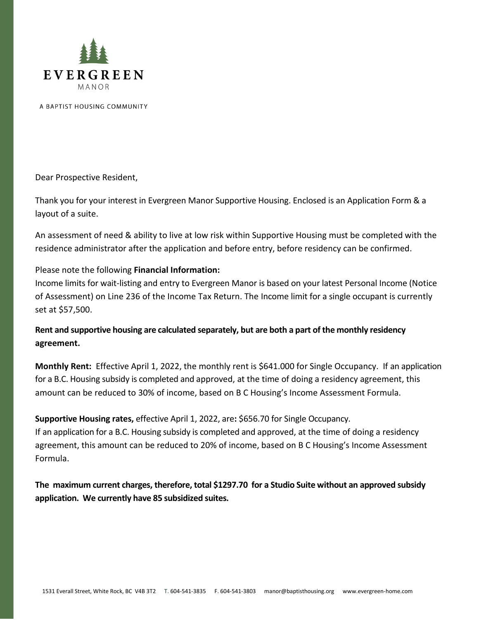

A BAPTIST HOUSING COMMUNITY

Dear Prospective Resident,

Thank you for your interest in Evergreen Manor Supportive Housing. Enclosed is an Application Form & a layout of a suite.

An assessment of need & ability to live at low risk within Supportive Housing must be completed with the residence administrator after the application and before entry, before residency can be confirmed.

## Please note the following **Financial Information:**

Income limits for wait-listing and entry to Evergreen Manor is based on your latest Personal Income (Notice of Assessment) on Line 236 of the Income Tax Return. The Income limit for a single occupant is currently set at \$57,500.

**Rent and supportive housing are calculated separately, but are both a part of the monthly residency agreement.**

**Monthly Rent:** Effective April 1, 2022, the monthly rent is \$641.000 for Single Occupancy. If an application for a B.C. Housing subsidy is completed and approved, at the time of doing a residency agreement, this amount can be reduced to 30% of income, based on B C Housing's Income Assessment Formula.

**Supportive Housing rates,** effective April 1, 2022, are**:** \$656.70 for Single Occupancy. If an application for a B.C. Housing subsidy is completed and approved, at the time of doing a residency agreement, this amount can be reduced to 20% of income, based on B C Housing's Income Assessment Formula.

**The maximum current charges, therefore, total \$1297.70 for a Studio Suite without an approved subsidy application. We currently have 85 subsidized suites.**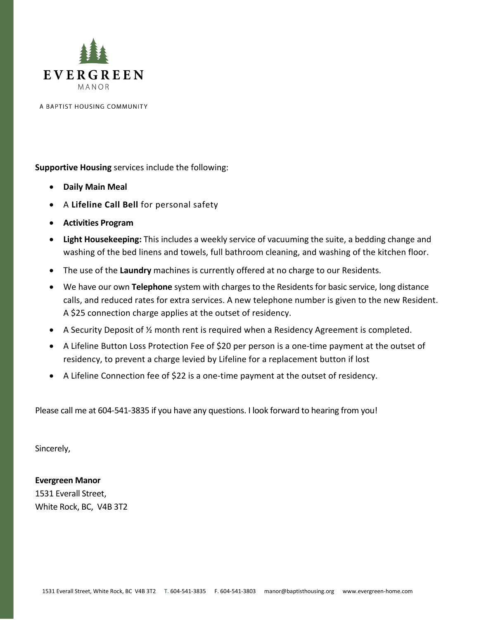

A BAPTIST HOUSING COMMUNITY

**Supportive Housing** services include the following:

- **Daily Main Meal**
- A **Lifeline Call Bell** for personal safety
- **Activities Program**
- **Light Housekeeping:** This includes a weekly service of vacuuming the suite, a bedding change and washing of the bed linens and towels, full bathroom cleaning, and washing of the kitchen floor.
- The use of the **Laundry** machines is currently offered at no charge to our Residents.
- We have our own **Telephone** system with charges to the Residents for basic service, long distance calls, and reduced rates for extra services. A new telephone number is given to the new Resident. A \$25 connection charge applies at the outset of residency.
- A Security Deposit of ½ month rent is required when a Residency Agreement is completed.
- A Lifeline Button Loss Protection Fee of \$20 per person is a one-time payment at the outset of residency, to prevent a charge levied by Lifeline for a replacement button if lost
- A Lifeline Connection fee of \$22 is a one-time payment at the outset of residency.

Please call me at 604-541-3835 if you have any questions. I look forward to hearing from you!

Sincerely,

## **Evergreen Manor**

1531 Everall Street, White Rock, BC, V4B 3T2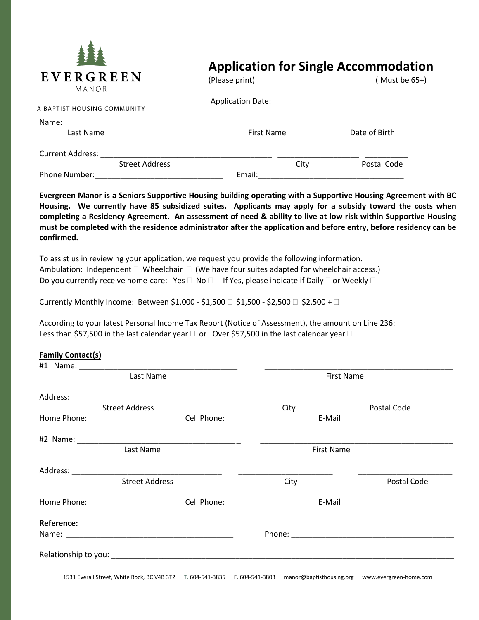

## **Application for Single Accommodation**

| L V L K U K L L IN<br>MANOR | (Please print)           |      | (Must be $65+$ ) |
|-----------------------------|--------------------------|------|------------------|
| A BAPTIST HOUSING COMMUNITY | <b>Application Date:</b> |      |                  |
| Name:                       |                          |      |                  |
| Last Name                   | <b>First Name</b>        |      | Date of Birth    |
| <b>Current Address:</b>     |                          |      |                  |
| <b>Street Address</b>       |                          | City | Postal Code      |
| Phone Number:               | Email:                   |      |                  |

**Evergreen Manor is a Seniors Supportive Housing building operating with a Supportive Housing Agreement with BC Housing. We currently have 85 subsidized suites. Applicants may apply for a subsidy toward the costs when completing a Residency Agreement. An assessment of need & ability to live at low risk within Supportive Housing must be completed with the residence administrator after the application and before entry, before residency can be confirmed.** 

To assist us in reviewing your application, we request you provide the following information. Ambulation: Independent  $\Box$  Wheelchair  $\Box$  (We have four suites adapted for wheelchair access.) Do you currently receive home-care: Yes  $\Box$  No  $\Box$  If Yes, please indicate if Daily  $\Box$  or Weekly  $\Box$ 

Currently Monthly Income: Between \$1,000 - \$1,500  $\Box$  \$1,500 - \$2,500  $\Box$  \$2,500 +  $\Box$ 

According to your latest Personal Income Tax Report (Notice of Assessment), the amount on Line 236: Less than \$57,500 in the last calendar year  $\Box$  or Over \$57,500 in the last calendar year  $\Box$ 

## **Family Contact(s)**

| Last Name             |  | <b>First Name</b> |                   |  |  |
|-----------------------|--|-------------------|-------------------|--|--|
|                       |  |                   |                   |  |  |
| <b>Street Address</b> |  | City              | Postal Code       |  |  |
|                       |  |                   |                   |  |  |
|                       |  |                   |                   |  |  |
| Last Name             |  |                   | <b>First Name</b> |  |  |
|                       |  |                   |                   |  |  |
| <b>Street Address</b> |  | City              | Postal Code       |  |  |
|                       |  |                   |                   |  |  |
| Reference:            |  |                   |                   |  |  |
|                       |  |                   |                   |  |  |
|                       |  |                   |                   |  |  |

1531 Everall Street, White Rock, BC V4B 3T2 T. 604-541-3835 F. 604-541-3803 manor@baptisthousing.org www.evergreen-home.com